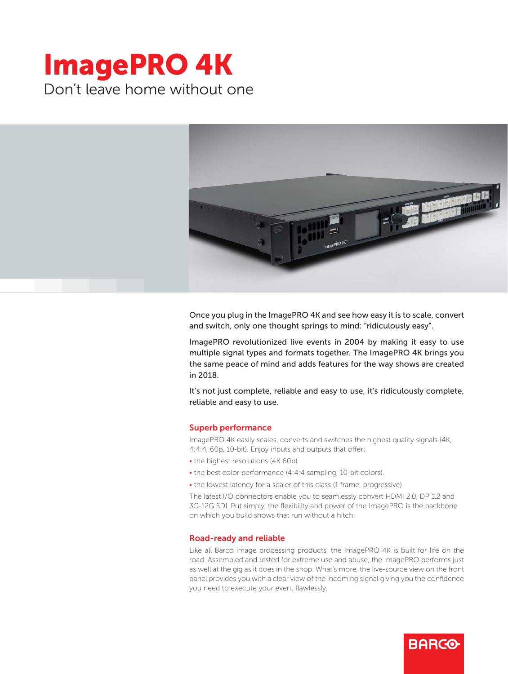# ImagePRO 4K Don't leave home without one



Once you plug in the ImagePRO 4K and see how easy it is to scale, convert and switch, only one thought springs to mind: "ridiculously easy".

ImagePRO revolutionized live events in 2004 by making it easy to use multiple signal types and formats together. The ImagePRO 4K brings you the same peace of mind and adds features for the way shows are created in 2018.

It's not just complete, reliable and easy to use, it's ridiculously complete, reliable and easy to use.

#### Superb performance

ImagePRO 4K easily scales, converts and switches the highest quality signals (4K, 4:4:4, 60p, 10-bit). Enjoy inputs and outputs that offer:

- the highest resolutions (4K 60p)
- the best color performance (4:4:4 sampling, 10-bit colors).
- the lowest latency for a scaler of this class (1 frame, progressive)

The latest I/O connectors enable you to seamlessly convert HDMI 2.0, DP 1.2 and 3G-12G SDI. Put simply, the flexibility and power of the ImagePRO is the backbone on which you build shows that run without a hitch.

#### Road-ready and reliable

Like all Barco image processing products, the ImagePRO 4K is built for life on the road. Assembled and tested for extreme use and abuse, the ImagePRO performs just as well at the gig as it does in the shop. What's more, the live-source view on the front panel provides you with a clear view of the incoming signal giving you the confidence you need to execute your event flawlessly.